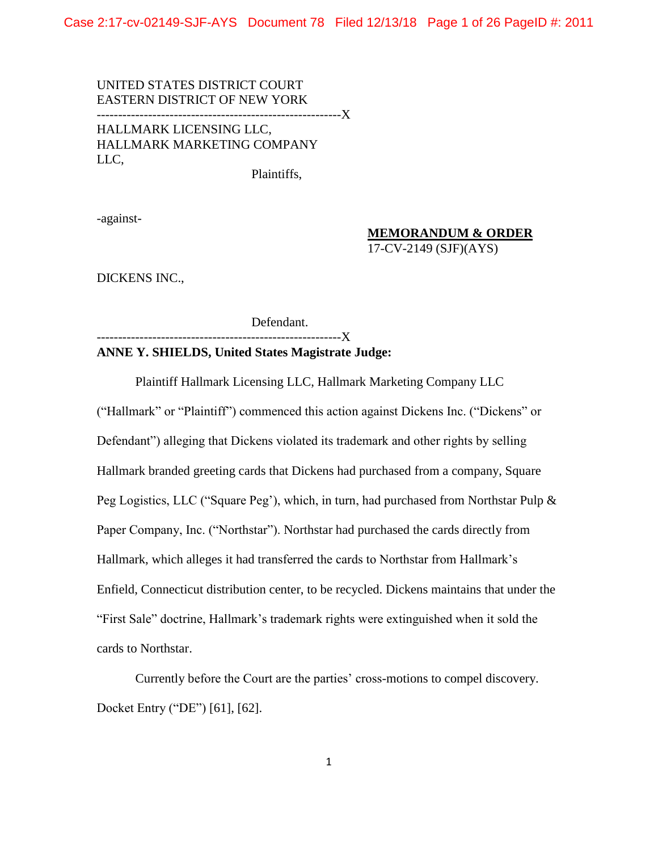Case 2:17-cv-02149-SJF-AYS Document 78 Filed 12/13/18 Page 1 of 26 PageID #: 2011

UNITED STATES DISTRICT COURT EASTERN DISTRICT OF NEW YORK ---------------------------------------------------------X HALLMARK LICENSING LLC, HALLMARK MARKETING COMPANY LLC,

Plaintiffs,

-against-

## **MEMORANDUM & ORDER**

17-CV-2149 (SJF)(AYS)

DICKENS INC.,

Defendant.

-------------------X

## **ANNE Y. SHIELDS, United States Magistrate Judge:**

Plaintiff Hallmark Licensing LLC, Hallmark Marketing Company LLC ("Hallmark" or "Plaintiff") commenced this action against Dickens Inc. ("Dickens" or Defendant") alleging that Dickens violated its trademark and other rights by selling Hallmark branded greeting cards that Dickens had purchased from a company, Square Peg Logistics, LLC ("Square Peg'), which, in turn, had purchased from Northstar Pulp & Paper Company, Inc. ("Northstar"). Northstar had purchased the cards directly from Hallmark, which alleges it had transferred the cards to Northstar from Hallmark's Enfield, Connecticut distribution center, to be recycled. Dickens maintains that under the "First Sale" doctrine, Hallmark's trademark rights were extinguished when it sold the cards to Northstar.

Currently before the Court are the parties' cross-motions to compel discovery. Docket Entry ("DE") [61], [62].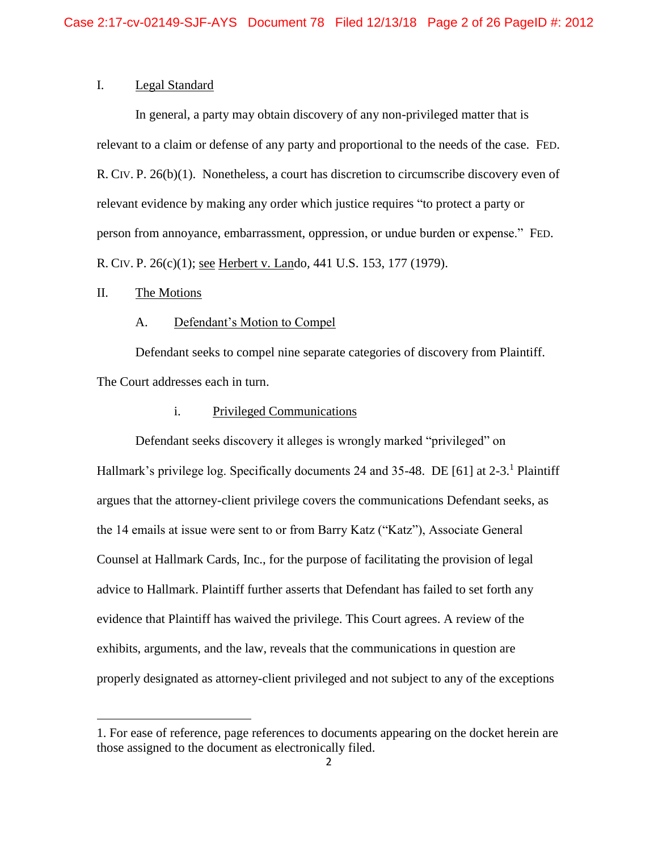# I. Legal Standard

In general, a party may obtain discovery of any non-privileged matter that is relevant to a claim or defense of any party and proportional to the needs of the case. FED. R. CIV. P. 26(b)(1). Nonetheless, a court has discretion to circumscribe discovery even of relevant evidence by making any order which justice requires "to protect a party or person from annoyance, embarrassment, oppression, or undue burden or expense." FED. R. CIV. P. 26(c)(1); see Herbert v. Lando*,* 441 U.S. 153, 177 (1979).

## II. The Motions

 $\overline{\phantom{a}}$ 

## A. Defendant's Motion to Compel

Defendant seeks to compel nine separate categories of discovery from Plaintiff. The Court addresses each in turn.

## i. Privileged Communications

Defendant seeks discovery it alleges is wrongly marked "privileged" on Hallmark's privilege log. Specifically documents 24 and 35-48. DE [61] at  $2-3$ .<sup>1</sup> Plaintiff argues that the attorney-client privilege covers the communications Defendant seeks, as the 14 emails at issue were sent to or from Barry Katz ("Katz"), Associate General Counsel at Hallmark Cards, Inc., for the purpose of facilitating the provision of legal advice to Hallmark. Plaintiff further asserts that Defendant has failed to set forth any evidence that Plaintiff has waived the privilege. This Court agrees. A review of the exhibits, arguments, and the law, reveals that the communications in question are properly designated as attorney-client privileged and not subject to any of the exceptions

<sup>1.</sup> For ease of reference, page references to documents appearing on the docket herein are those assigned to the document as electronically filed.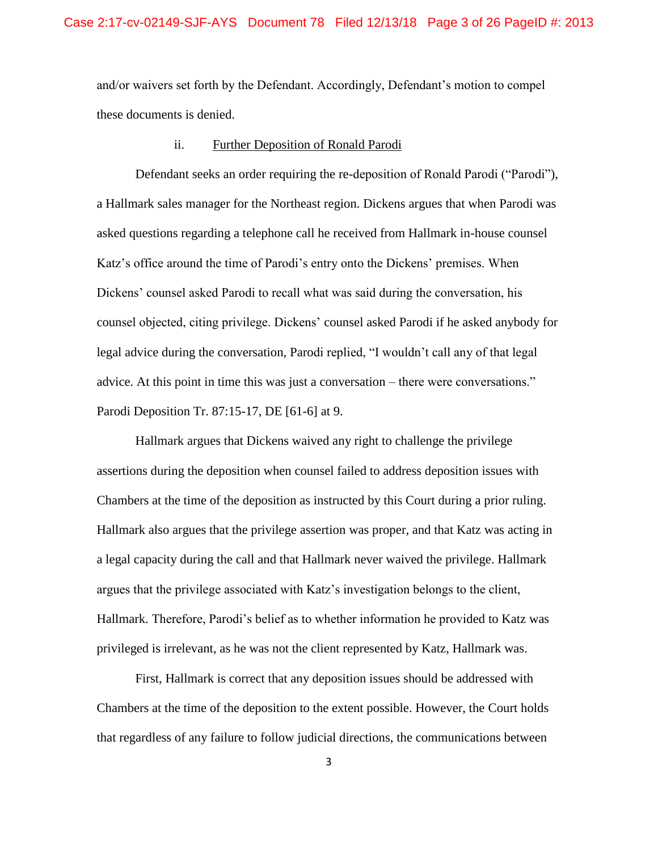and/or waivers set forth by the Defendant. Accordingly, Defendant's motion to compel these documents is denied.

#### ii. Further Deposition of Ronald Parodi

Defendant seeks an order requiring the re-deposition of Ronald Parodi ("Parodi"), a Hallmark sales manager for the Northeast region. Dickens argues that when Parodi was asked questions regarding a telephone call he received from Hallmark in-house counsel Katz's office around the time of Parodi's entry onto the Dickens' premises. When Dickens' counsel asked Parodi to recall what was said during the conversation, his counsel objected, citing privilege. Dickens' counsel asked Parodi if he asked anybody for legal advice during the conversation, Parodi replied, "I wouldn't call any of that legal advice. At this point in time this was just a conversation – there were conversations." Parodi Deposition Tr. 87:15-17, DE [61-6] at 9.

Hallmark argues that Dickens waived any right to challenge the privilege assertions during the deposition when counsel failed to address deposition issues with Chambers at the time of the deposition as instructed by this Court during a prior ruling. Hallmark also argues that the privilege assertion was proper, and that Katz was acting in a legal capacity during the call and that Hallmark never waived the privilege. Hallmark argues that the privilege associated with Katz's investigation belongs to the client, Hallmark. Therefore, Parodi's belief as to whether information he provided to Katz was privileged is irrelevant, as he was not the client represented by Katz, Hallmark was.

First, Hallmark is correct that any deposition issues should be addressed with Chambers at the time of the deposition to the extent possible. However, the Court holds that regardless of any failure to follow judicial directions, the communications between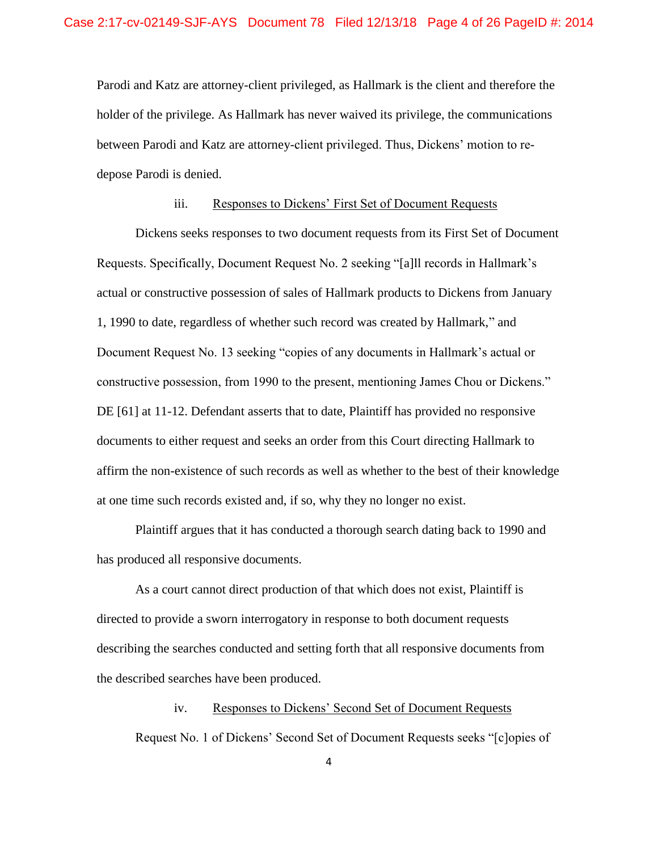Parodi and Katz are attorney-client privileged, as Hallmark is the client and therefore the holder of the privilege. As Hallmark has never waived its privilege, the communications between Parodi and Katz are attorney-client privileged. Thus, Dickens' motion to redepose Parodi is denied.

## iii. Responses to Dickens' First Set of Document Requests

Dickens seeks responses to two document requests from its First Set of Document Requests. Specifically, Document Request No. 2 seeking "[a]ll records in Hallmark's actual or constructive possession of sales of Hallmark products to Dickens from January 1, 1990 to date, regardless of whether such record was created by Hallmark," and Document Request No. 13 seeking "copies of any documents in Hallmark's actual or constructive possession, from 1990 to the present, mentioning James Chou or Dickens." DE [61] at 11-12. Defendant asserts that to date, Plaintiff has provided no responsive documents to either request and seeks an order from this Court directing Hallmark to affirm the non-existence of such records as well as whether to the best of their knowledge at one time such records existed and, if so, why they no longer no exist.

Plaintiff argues that it has conducted a thorough search dating back to 1990 and has produced all responsive documents.

As a court cannot direct production of that which does not exist, Plaintiff is directed to provide a sworn interrogatory in response to both document requests describing the searches conducted and setting forth that all responsive documents from the described searches have been produced.

## iv. Responses to Dickens' Second Set of Document Requests

Request No. 1 of Dickens' Second Set of Document Requests seeks "[c]opies of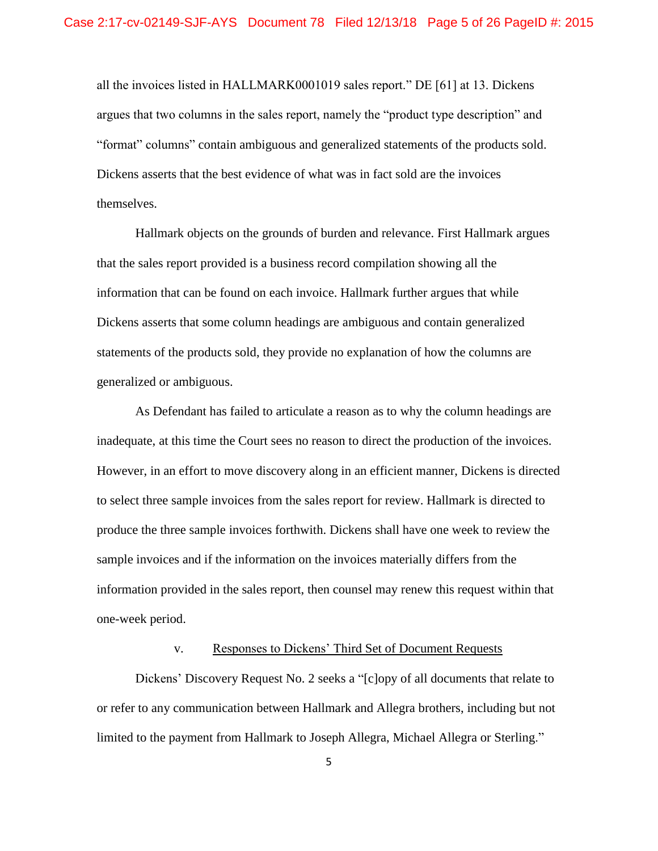all the invoices listed in HALLMARK0001019 sales report." DE [61] at 13. Dickens argues that two columns in the sales report, namely the "product type description" and "format" columns" contain ambiguous and generalized statements of the products sold. Dickens asserts that the best evidence of what was in fact sold are the invoices themselves.

Hallmark objects on the grounds of burden and relevance. First Hallmark argues that the sales report provided is a business record compilation showing all the information that can be found on each invoice. Hallmark further argues that while Dickens asserts that some column headings are ambiguous and contain generalized statements of the products sold, they provide no explanation of how the columns are generalized or ambiguous.

As Defendant has failed to articulate a reason as to why the column headings are inadequate, at this time the Court sees no reason to direct the production of the invoices. However, in an effort to move discovery along in an efficient manner, Dickens is directed to select three sample invoices from the sales report for review. Hallmark is directed to produce the three sample invoices forthwith. Dickens shall have one week to review the sample invoices and if the information on the invoices materially differs from the information provided in the sales report, then counsel may renew this request within that one-week period.

## v. Responses to Dickens' Third Set of Document Requests

Dickens' Discovery Request No. 2 seeks a "[c]opy of all documents that relate to or refer to any communication between Hallmark and Allegra brothers, including but not limited to the payment from Hallmark to Joseph Allegra, Michael Allegra or Sterling."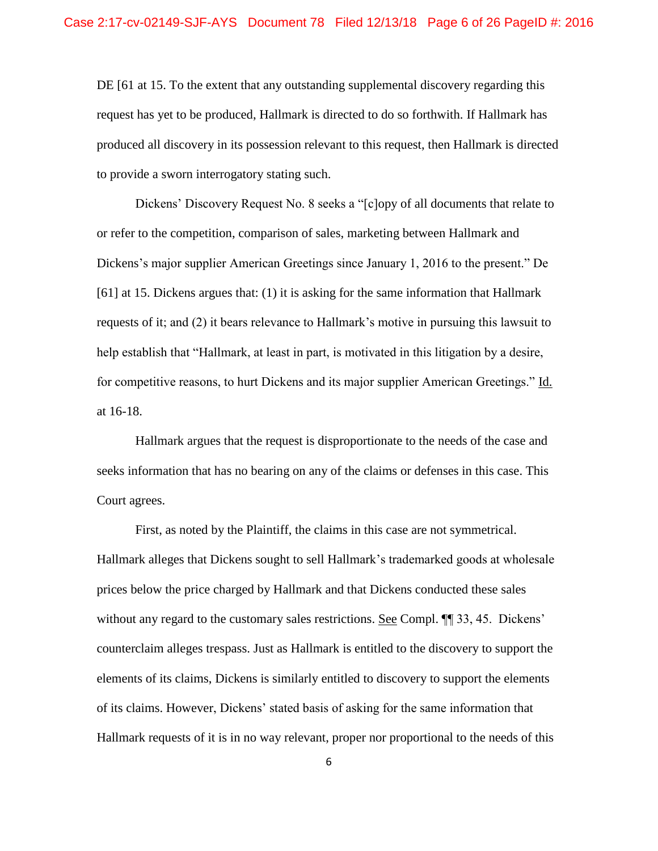DE [61 at 15. To the extent that any outstanding supplemental discovery regarding this request has yet to be produced, Hallmark is directed to do so forthwith. If Hallmark has produced all discovery in its possession relevant to this request, then Hallmark is directed to provide a sworn interrogatory stating such.

Dickens' Discovery Request No. 8 seeks a "[c]opy of all documents that relate to or refer to the competition, comparison of sales, marketing between Hallmark and Dickens's major supplier American Greetings since January 1, 2016 to the present." De [61] at 15. Dickens argues that: (1) it is asking for the same information that Hallmark requests of it; and (2) it bears relevance to Hallmark's motive in pursuing this lawsuit to help establish that "Hallmark, at least in part, is motivated in this litigation by a desire, for competitive reasons, to hurt Dickens and its major supplier American Greetings." Id. at 16-18.

Hallmark argues that the request is disproportionate to the needs of the case and seeks information that has no bearing on any of the claims or defenses in this case. This Court agrees.

First, as noted by the Plaintiff, the claims in this case are not symmetrical. Hallmark alleges that Dickens sought to sell Hallmark's trademarked goods at wholesale prices below the price charged by Hallmark and that Dickens conducted these sales without any regard to the customary sales restrictions. See Compl. ¶¶ 33, 45. Dickens' counterclaim alleges trespass. Just as Hallmark is entitled to the discovery to support the elements of its claims, Dickens is similarly entitled to discovery to support the elements of its claims. However, Dickens' stated basis of asking for the same information that Hallmark requests of it is in no way relevant, proper nor proportional to the needs of this

6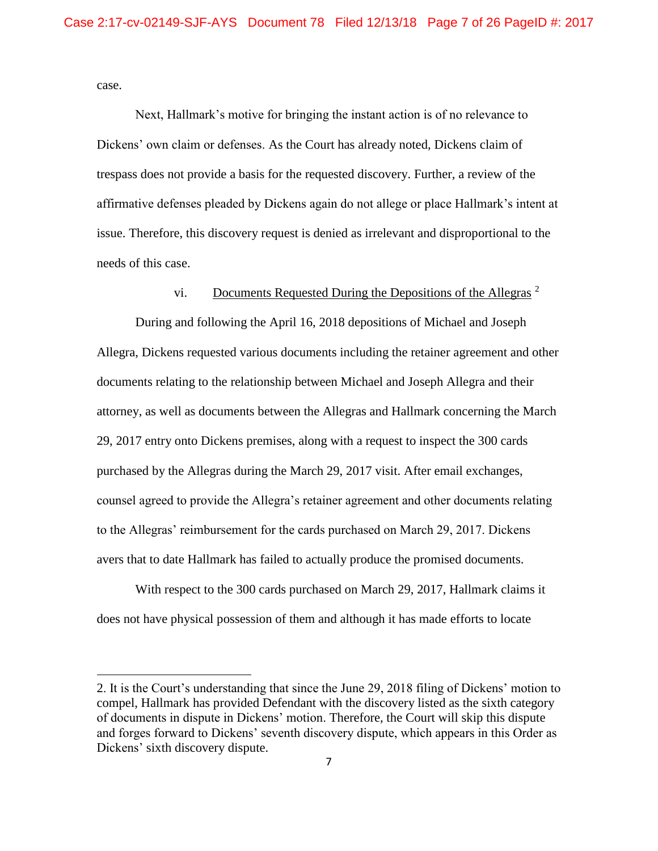case.

l

Next, Hallmark's motive for bringing the instant action is of no relevance to Dickens' own claim or defenses. As the Court has already noted, Dickens claim of trespass does not provide a basis for the requested discovery. Further, a review of the affirmative defenses pleaded by Dickens again do not allege or place Hallmark's intent at issue. Therefore, this discovery request is denied as irrelevant and disproportional to the needs of this case.

## vi. Documents Requested During the Depositions of the Allegras  $2$

During and following the April 16, 2018 depositions of Michael and Joseph Allegra, Dickens requested various documents including the retainer agreement and other documents relating to the relationship between Michael and Joseph Allegra and their attorney, as well as documents between the Allegras and Hallmark concerning the March 29, 2017 entry onto Dickens premises, along with a request to inspect the 300 cards purchased by the Allegras during the March 29, 2017 visit. After email exchanges, counsel agreed to provide the Allegra's retainer agreement and other documents relating to the Allegras' reimbursement for the cards purchased on March 29, 2017. Dickens avers that to date Hallmark has failed to actually produce the promised documents.

With respect to the 300 cards purchased on March 29, 2017, Hallmark claims it does not have physical possession of them and although it has made efforts to locate

<sup>2.</sup> It is the Court's understanding that since the June 29, 2018 filing of Dickens' motion to compel, Hallmark has provided Defendant with the discovery listed as the sixth category of documents in dispute in Dickens' motion. Therefore, the Court will skip this dispute and forges forward to Dickens' seventh discovery dispute, which appears in this Order as Dickens' sixth discovery dispute.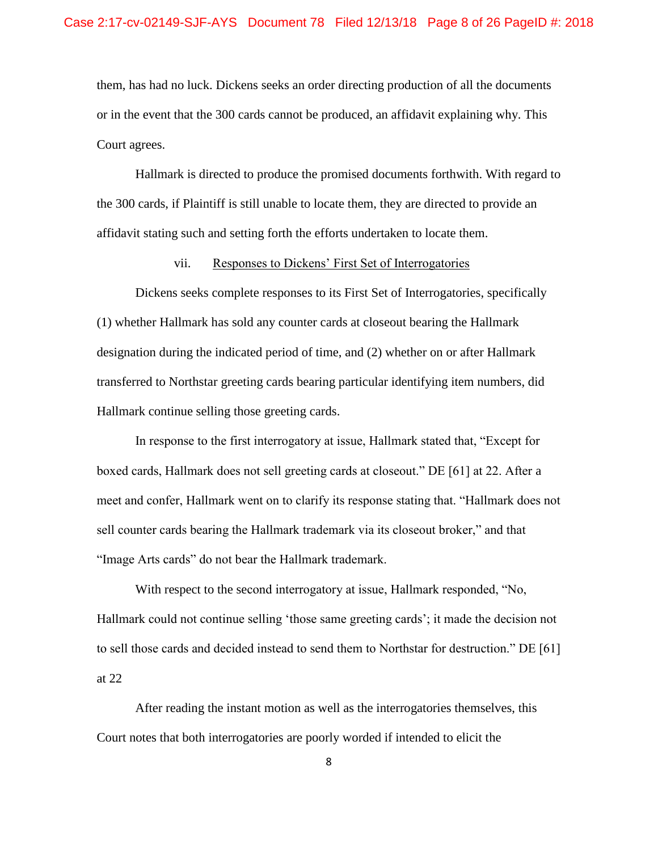them, has had no luck. Dickens seeks an order directing production of all the documents or in the event that the 300 cards cannot be produced, an affidavit explaining why. This Court agrees.

Hallmark is directed to produce the promised documents forthwith. With regard to the 300 cards, if Plaintiff is still unable to locate them, they are directed to provide an affidavit stating such and setting forth the efforts undertaken to locate them.

#### vii. Responses to Dickens' First Set of Interrogatories

Dickens seeks complete responses to its First Set of Interrogatories, specifically (1) whether Hallmark has sold any counter cards at closeout bearing the Hallmark designation during the indicated period of time, and (2) whether on or after Hallmark transferred to Northstar greeting cards bearing particular identifying item numbers, did Hallmark continue selling those greeting cards.

In response to the first interrogatory at issue, Hallmark stated that, "Except for boxed cards, Hallmark does not sell greeting cards at closeout." DE [61] at 22. After a meet and confer, Hallmark went on to clarify its response stating that. "Hallmark does not sell counter cards bearing the Hallmark trademark via its closeout broker," and that "Image Arts cards" do not bear the Hallmark trademark.

With respect to the second interrogatory at issue, Hallmark responded, "No, Hallmark could not continue selling 'those same greeting cards'; it made the decision not to sell those cards and decided instead to send them to Northstar for destruction." DE [61] at 22

After reading the instant motion as well as the interrogatories themselves, this Court notes that both interrogatories are poorly worded if intended to elicit the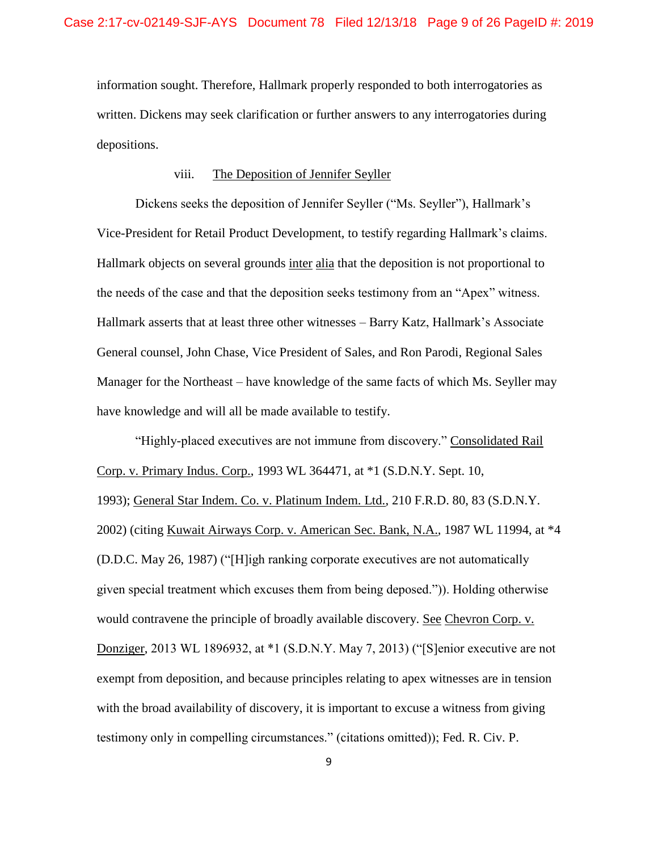information sought. Therefore, Hallmark properly responded to both interrogatories as written. Dickens may seek clarification or further answers to any interrogatories during depositions.

## viii. The Deposition of Jennifer Seyller

Dickens seeks the deposition of Jennifer Seyller ("Ms. Seyller"), Hallmark's Vice-President for Retail Product Development, to testify regarding Hallmark's claims. Hallmark objects on several grounds inter alia that the deposition is not proportional to the needs of the case and that the deposition seeks testimony from an "Apex" witness. Hallmark asserts that at least three other witnesses – Barry Katz, Hallmark's Associate General counsel, John Chase, Vice President of Sales, and Ron Parodi, Regional Sales Manager for the Northeast – have knowledge of the same facts of which Ms. Seyller may have knowledge and will all be made available to testify.

"Highly-placed executives are not immune from discovery." Consolidated Rail Corp. v. Primary Indus. Corp., 1993 WL 364471, at \*1 (S.D.N.Y. Sept. 10, 1993); General Star Indem. Co. v. Platinum Indem. Ltd., 210 F.R.D. 80, 83 (S.D.N.Y. 2002) (citing Kuwait Airways Corp. v. American Sec. Bank, N.A.*,* 1987 WL 11994, at \*4 (D.D.C. May 26, 1987) ("[H]igh ranking corporate executives are not automatically given special treatment which excuses them from being deposed.")). Holding otherwise would contravene the principle of broadly available discovery. See Chevron Corp. v. Donziger, 2013 WL 1896932, at \*1 (S.D.N.Y. May 7, 2013) ("[S]enior executive are not exempt from deposition, and because principles relating to apex witnesses are in tension with the broad availability of discovery, it is important to excuse a witness from giving testimony only in compelling circumstances." (citations omitted)); Fed. R. Civ. P.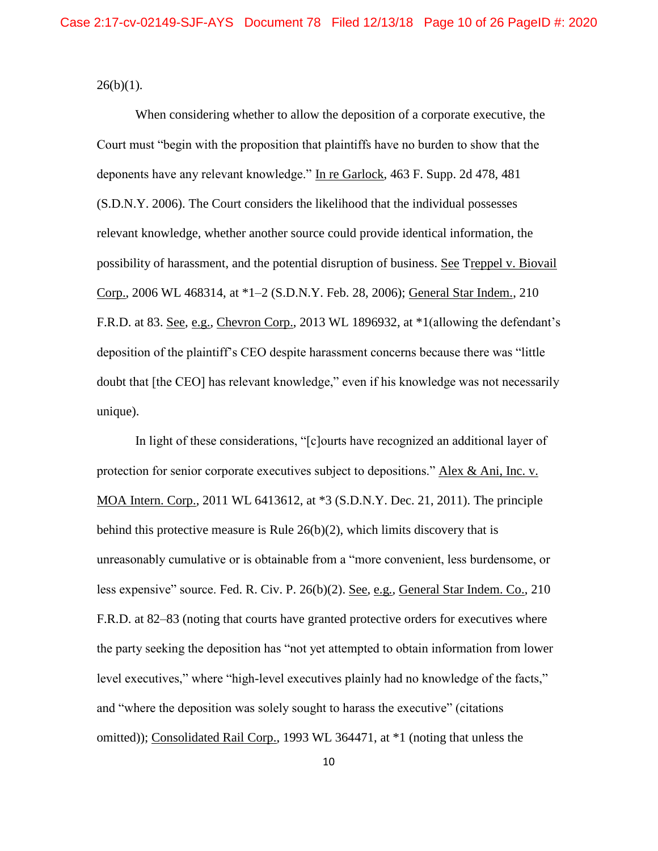$26(b)(1)$ .

When considering whether to allow the deposition of a corporate executive, the Court must "begin with the proposition that plaintiffs have no burden to show that the deponents have any relevant knowledge." In re Garlock, 463 F. Supp. 2d 478, 481 (S.D.N.Y. 2006). The Court considers the likelihood that the individual possesses relevant knowledge, whether another source could provide identical information, the possibility of harassment, and the potential disruption of business. See Treppel v. Biovail Corp., 2006 WL 468314, at \*1–2 (S.D.N.Y. Feb. 28, 2006); General Star Indem., 210 F.R.D. at 83. See*,* e.g., Chevron Corp., 2013 WL 1896932, at \*1(allowing the defendant's deposition of the plaintiff's CEO despite harassment concerns because there was "little doubt that [the CEO] has relevant knowledge," even if his knowledge was not necessarily unique).

In light of these considerations, "[c]ourts have recognized an additional layer of protection for senior corporate executives subject to depositions." Alex & Ani, Inc. v. MOA Intern. Corp., 2011 WL 6413612, at \*3 (S.D.N.Y. Dec. 21, 2011). The principle behind this protective measure is Rule 26(b)(2), which limits discovery that is unreasonably cumulative or is obtainable from a "more convenient, less burdensome, or less expensive" source. Fed. R. Civ. P. 26(b)(2). See, e.g*.,* General Star Indem. Co., 210 F.R.D. at 82–83 (noting that courts have granted protective orders for executives where the party seeking the deposition has "not yet attempted to obtain information from lower level executives," where "high-level executives plainly had no knowledge of the facts," and "where the deposition was solely sought to harass the executive" (citations omitted)); Consolidated Rail Corp., 1993 WL 364471, at \*1 (noting that unless the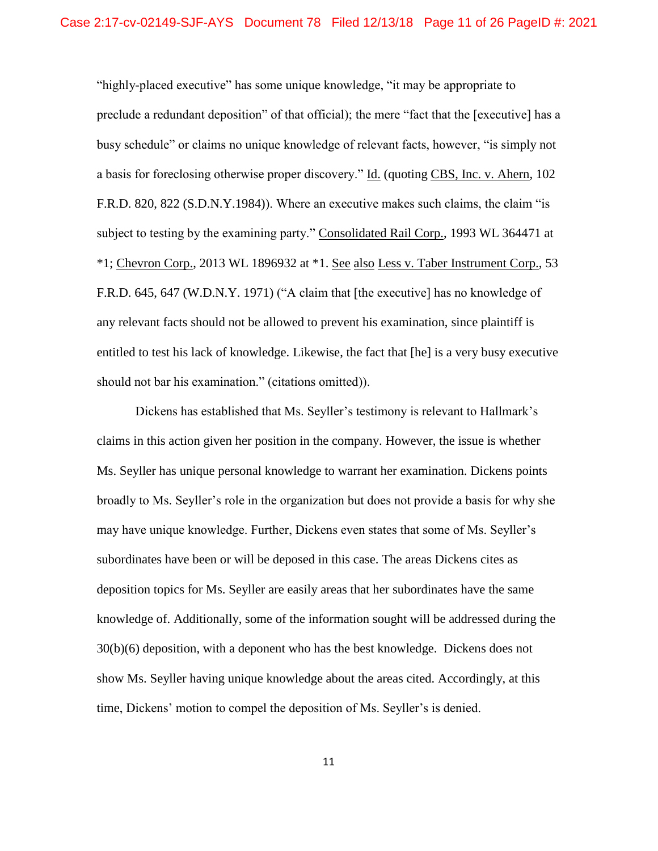"highly-placed executive" has some unique knowledge, "it may be appropriate to preclude a redundant deposition" of that official); the mere "fact that the [executive] has a busy schedule" or claims no unique knowledge of relevant facts, however, "is simply not a basis for foreclosing otherwise proper discovery." Id. (quoting CBS, Inc. v. Ahern, 102 F.R.D. 820, 822 (S.D.N.Y.1984)). Where an executive makes such claims, the claim "is subject to testing by the examining party." Consolidated Rail Corp., 1993 WL 364471 at \*1; Chevron Corp., 2013 WL 1896932 at \*1. See also Less v. Taber Instrument Corp., 53 F.R.D. 645, 647 (W.D.N.Y. 1971) ("A claim that [the executive] has no knowledge of any relevant facts should not be allowed to prevent his examination, since plaintiff is entitled to test his lack of knowledge. Likewise, the fact that [he] is a very busy executive should not bar his examination." (citations omitted)).

Dickens has established that Ms. Seyller's testimony is relevant to Hallmark's claims in this action given her position in the company. However, the issue is whether Ms. Seyller has unique personal knowledge to warrant her examination. Dickens points broadly to Ms. Seyller's role in the organization but does not provide a basis for why she may have unique knowledge. Further, Dickens even states that some of Ms. Seyller's subordinates have been or will be deposed in this case. The areas Dickens cites as deposition topics for Ms. Seyller are easily areas that her subordinates have the same knowledge of. Additionally, some of the information sought will be addressed during the 30(b)(6) deposition, with a deponent who has the best knowledge. Dickens does not show Ms. Seyller having unique knowledge about the areas cited. Accordingly, at this time, Dickens' motion to compel the deposition of Ms. Seyller's is denied.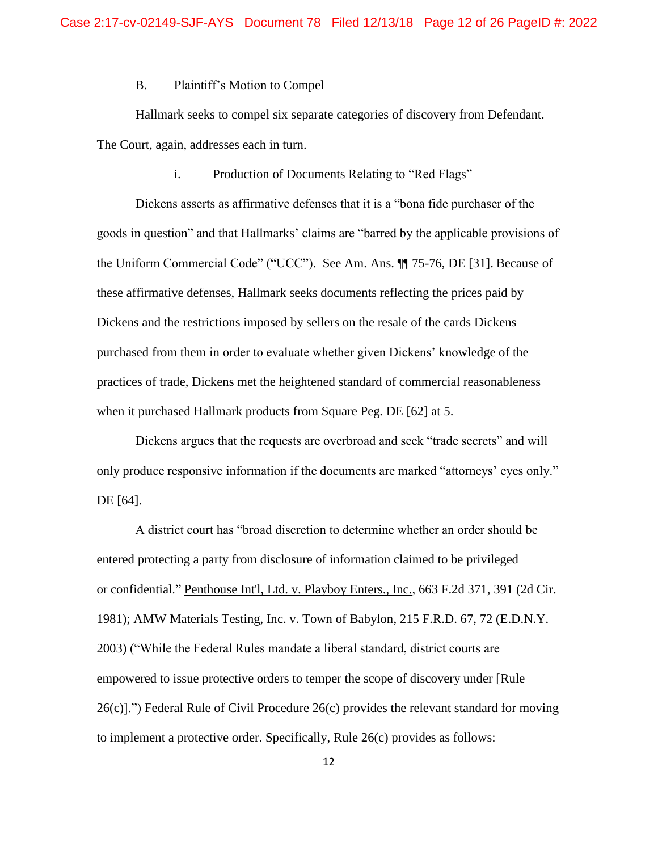## B. Plaintiff's Motion to Compel

Hallmark seeks to compel six separate categories of discovery from Defendant. The Court, again, addresses each in turn.

#### i. Production of Documents Relating to "Red Flags"

Dickens asserts as affirmative defenses that it is a "bona fide purchaser of the goods in question" and that Hallmarks' claims are "barred by the applicable provisions of the Uniform Commercial Code" ("UCC"). See Am. Ans. ¶¶ 75-76, DE [31]. Because of these affirmative defenses, Hallmark seeks documents reflecting the prices paid by Dickens and the restrictions imposed by sellers on the resale of the cards Dickens purchased from them in order to evaluate whether given Dickens' knowledge of the practices of trade, Dickens met the heightened standard of commercial reasonableness when it purchased Hallmark products from Square Peg. DE [62] at 5.

Dickens argues that the requests are overbroad and seek "trade secrets" and will only produce responsive information if the documents are marked "attorneys' eyes only." DE [64].

A district court has "broad discretion to determine whether an order should be entered protecting a party from disclosure of information claimed to be privileged or confidential." Penthouse Int'l, Ltd. v. Playboy Enters., Inc., 663 F.2d 371, 391 (2d Cir. 1981); AMW Materials Testing, Inc. v. Town of Babylon, 215 F.R.D. 67, 72 (E.D.N.Y. 2003) ("While the Federal Rules mandate a liberal standard, district courts are empowered to issue protective orders to temper the scope of discovery under [Rule 26(c)].") Federal Rule of Civil Procedure 26(c) provides the relevant standard for moving to implement a protective order. Specifically, Rule 26(c) provides as follows: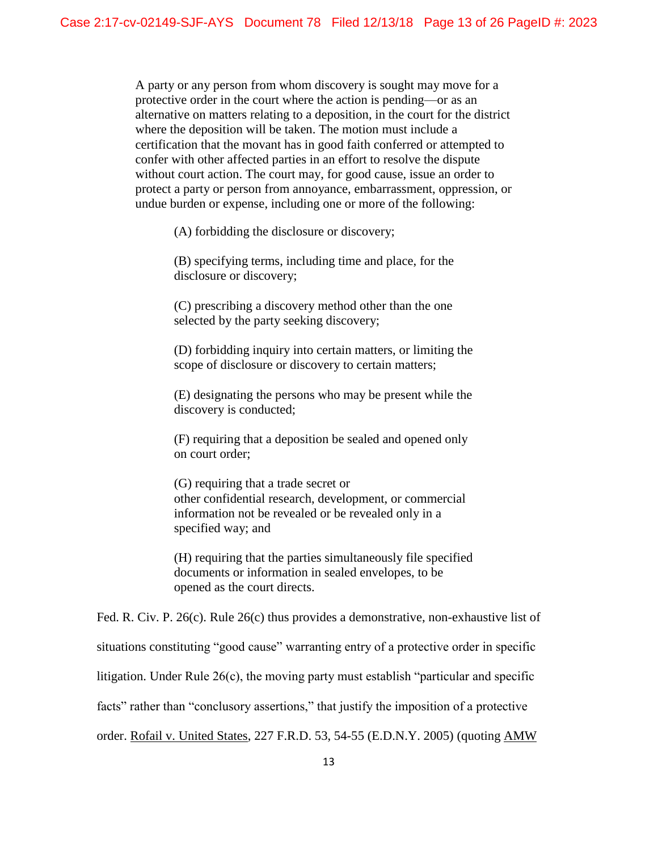A party or any person from whom discovery is sought may move for a protective order in the court where the action is pending—or as an alternative on matters relating to a deposition, in the court for the district where the deposition will be taken. The motion must include a certification that the movant has in good faith conferred or attempted to confer with other affected parties in an effort to resolve the dispute without court action. The court may, for good cause, issue an order to protect a party or person from annoyance, embarrassment, oppression, or undue burden or expense, including one or more of the following:

(A) forbidding the disclosure or discovery;

(B) specifying terms, including time and place, for the disclosure or discovery;

(C) prescribing a discovery method other than the one selected by the party seeking discovery;

(D) forbidding inquiry into certain matters, or limiting the scope of disclosure or discovery to certain matters;

(E) designating the persons who may be present while the discovery is conducted;

(F) requiring that a deposition be sealed and opened only on court order;

(G) requiring that a trade secret or other confidential research, development, or commercial information not be revealed or be revealed only in a specified way; and

(H) requiring that the parties simultaneously file specified documents or information in sealed envelopes, to be opened as the court directs.

Fed. R. Civ. P. 26(c). Rule 26(c) thus provides a demonstrative, non-exhaustive list of situations constituting "good cause" warranting entry of a protective order in specific litigation. Under Rule 26(c), the moving party must establish "particular and specific facts" rather than "conclusory assertions," that justify the imposition of a protective order. Rofail v. United States, 227 F.R.D. 53, 54-55 (E.D.N.Y. 2005) (quoting AMW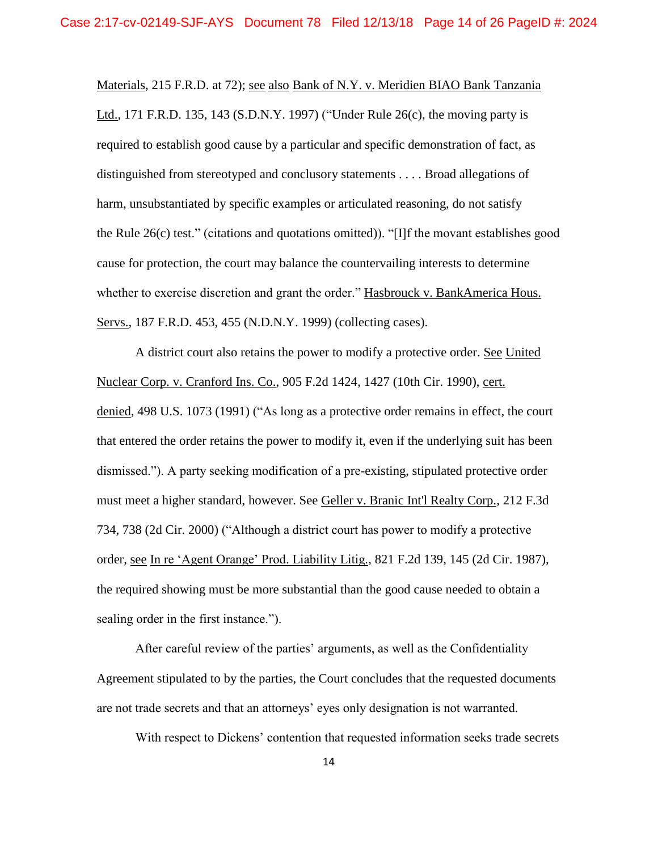Materials, 215 F.R.D. at 72); see also Bank of N.Y. v. Meridien BIAO Bank Tanzania Ltd., 171 F.R.D. 135, 143 (S.D.N.Y. 1997) ("Under Rule 26(c), the moving party is required to establish good cause by a particular and specific demonstration of fact, as distinguished from stereotyped and conclusory statements . . . . Broad allegations of harm, unsubstantiated by specific examples or articulated reasoning, do not satisfy the Rule 26(c) test." (citations and quotations omitted)). "[I]f the movant establishes good cause for protection, the court may balance the countervailing interests to determine whether to exercise discretion and grant the order." Hasbrouck v. BankAmerica Hous. Servs., 187 F.R.D. 453, 455 (N.D.N.Y. 1999) (collecting cases).

A district court also retains the power to modify a protective order. See United Nuclear Corp. v. Cranford Ins. Co., 905 F.2d 1424, 1427 (10th Cir. 1990), cert. denied, 498 U.S. 1073 (1991) ("As long as a protective order remains in effect, the court that entered the order retains the power to modify it, even if the underlying suit has been dismissed."). A party seeking modification of a pre-existing, stipulated protective order must meet a higher standard, however. See Geller v. Branic Int'l Realty Corp., 212 F.3d 734, 738 (2d Cir. 2000) ("Although a district court has power to modify a protective order, see In re 'Agent Orange' Prod. Liability Litig., 821 F.2d 139, 145 (2d Cir. 1987), the required showing must be more substantial than the good cause needed to obtain a sealing order in the first instance.").

After careful review of the parties' arguments, as well as the Confidentiality Agreement stipulated to by the parties, the Court concludes that the requested documents are not trade secrets and that an attorneys' eyes only designation is not warranted.

With respect to Dickens' contention that requested information seeks trade secrets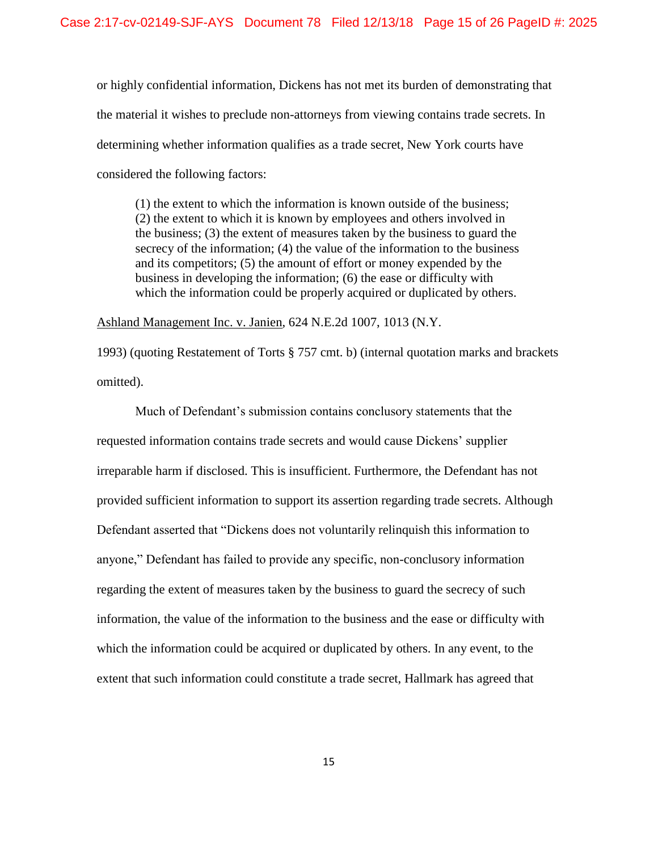or highly confidential information, Dickens has not met its burden of demonstrating that the material it wishes to preclude non-attorneys from viewing contains trade secrets. In determining whether information qualifies as a trade secret, New York courts have considered the following factors:

(1) the extent to which the information is known outside of the business; (2) the extent to which it is known by employees and others involved in the business; (3) the extent of measures taken by the business to guard the secrecy of the information; (4) the value of the information to the business and its competitors; (5) the amount of effort or money expended by the business in developing the information; (6) the ease or difficulty with which the information could be properly acquired or duplicated by others.

Ashland Management Inc. v. Janien, 624 N.E.2d 1007, 1013 (N.Y.

1993) (quoting Restatement of Torts § 757 cmt. b) (internal quotation marks and brackets omitted).

Much of Defendant's submission contains conclusory statements that the requested information contains trade secrets and would cause Dickens' supplier irreparable harm if disclosed. This is insufficient. Furthermore, the Defendant has not provided sufficient information to support its assertion regarding trade secrets. Although Defendant asserted that "Dickens does not voluntarily relinquish this information to anyone," Defendant has failed to provide any specific, non-conclusory information regarding the extent of measures taken by the business to guard the secrecy of such information, the value of the information to the business and the ease or difficulty with which the information could be acquired or duplicated by others. In any event, to the extent that such information could constitute a trade secret, Hallmark has agreed that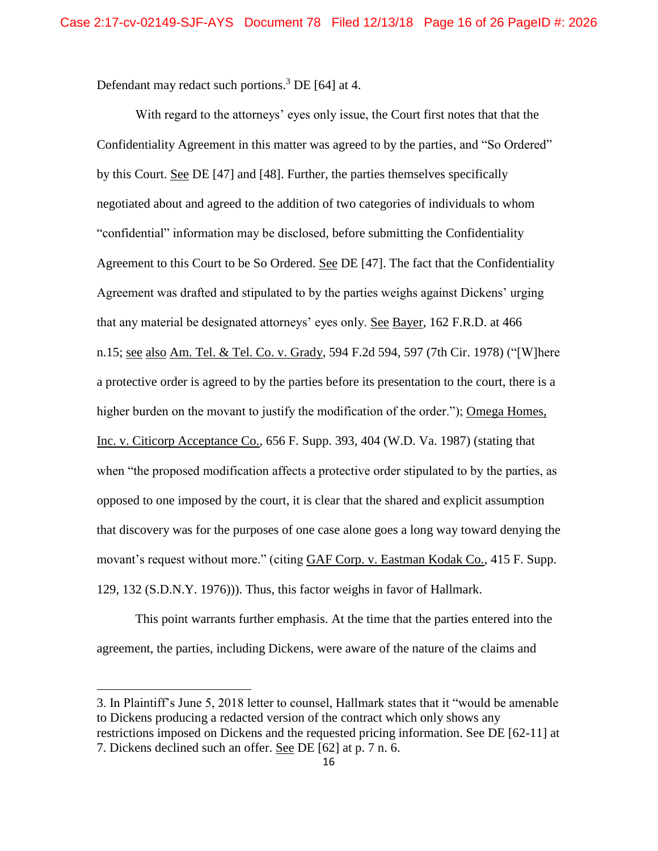Defendant may redact such portions.<sup>3</sup> DE [64] at 4.

With regard to the attorneys' eyes only issue, the Court first notes that that the Confidentiality Agreement in this matter was agreed to by the parties, and "So Ordered" by this Court. See DE [47] and [48]. Further, the parties themselves specifically negotiated about and agreed to the addition of two categories of individuals to whom "confidential" information may be disclosed, before submitting the Confidentiality Agreement to this Court to be So Ordered. See DE [47]. The fact that the Confidentiality Agreement was drafted and stipulated to by the parties weighs against Dickens' urging that any material be designated attorneys' eyes only. See Bayer, 162 F.R.D. at 466 n.15; see also Am. Tel. & Tel. Co. v. Grady, 594 F.2d 594, 597 (7th Cir. 1978) ("[W]here a protective order is agreed to by the parties before its presentation to the court, there is a higher burden on the movant to justify the modification of the order."); Omega Homes, Inc. v. Citicorp Acceptance Co., 656 F. Supp. 393, 404 (W.D. Va. 1987) (stating that when "the proposed modification affects a protective order stipulated to by the parties, as opposed to one imposed by the court, it is clear that the shared and explicit assumption that discovery was for the purposes of one case alone goes a long way toward denying the movant's request without more." (citing GAF Corp. v. Eastman Kodak Co., 415 F. Supp. 129, 132 (S.D.N.Y. 1976))). Thus, this factor weighs in favor of Hallmark.

This point warrants further emphasis. At the time that the parties entered into the agreement, the parties, including Dickens, were aware of the nature of the claims and

 $\overline{a}$ 

<sup>3.</sup> In Plaintiff's June 5, 2018 letter to counsel, Hallmark states that it "would be amenable to Dickens producing a redacted version of the contract which only shows any restrictions imposed on Dickens and the requested pricing information. See DE [62-11] at 7. Dickens declined such an offer. See DE [62] at p. 7 n. 6.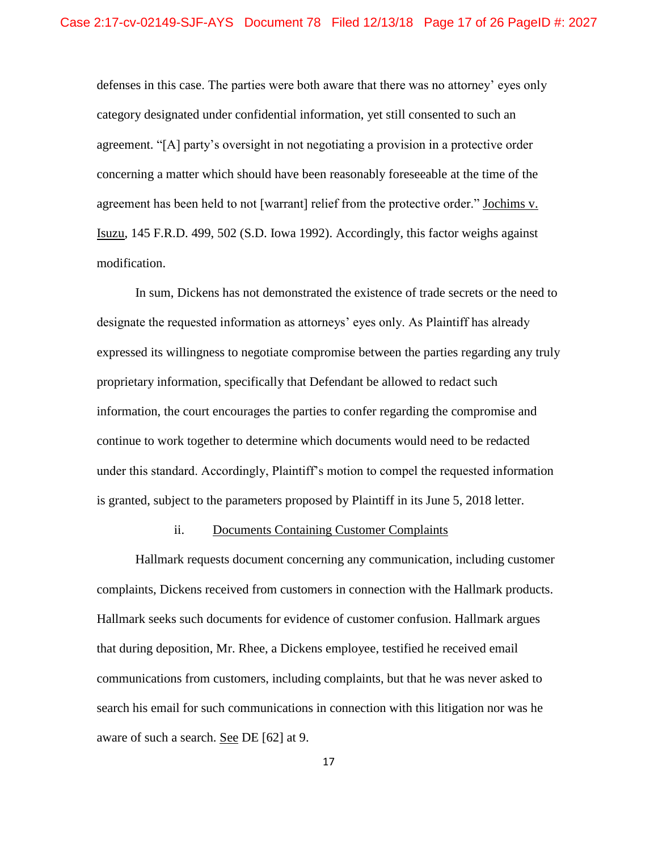defenses in this case. The parties were both aware that there was no attorney' eyes only category designated under confidential information, yet still consented to such an agreement. "[A] party's oversight in not negotiating a provision in a protective order concerning a matter which should have been reasonably foreseeable at the time of the agreement has been held to not [warrant] relief from the protective order." Jochims v. Isuzu, 145 F.R.D. 499, 502 (S.D. Iowa 1992). Accordingly, this factor weighs against modification.

In sum, Dickens has not demonstrated the existence of trade secrets or the need to designate the requested information as attorneys' eyes only. As Plaintiff has already expressed its willingness to negotiate compromise between the parties regarding any truly proprietary information, specifically that Defendant be allowed to redact such information, the court encourages the parties to confer regarding the compromise and continue to work together to determine which documents would need to be redacted under this standard. Accordingly, Plaintiff's motion to compel the requested information is granted, subject to the parameters proposed by Plaintiff in its June 5, 2018 letter.

## ii. Documents Containing Customer Complaints

Hallmark requests document concerning any communication, including customer complaints, Dickens received from customers in connection with the Hallmark products. Hallmark seeks such documents for evidence of customer confusion. Hallmark argues that during deposition, Mr. Rhee, a Dickens employee, testified he received email communications from customers, including complaints, but that he was never asked to search his email for such communications in connection with this litigation nor was he aware of such a search. See DE [62] at 9.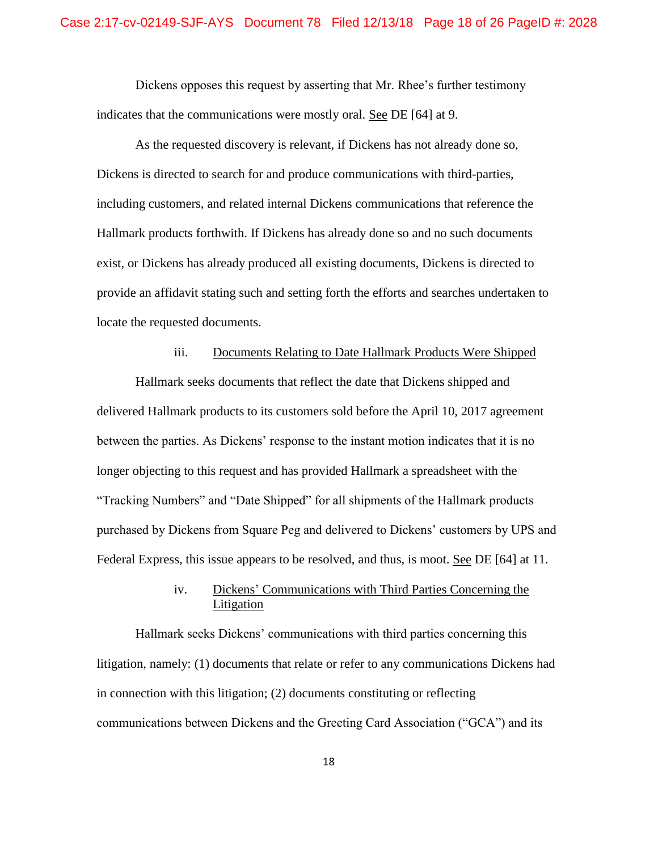Dickens opposes this request by asserting that Mr. Rhee's further testimony indicates that the communications were mostly oral. See DE [64] at 9.

As the requested discovery is relevant, if Dickens has not already done so, Dickens is directed to search for and produce communications with third-parties, including customers, and related internal Dickens communications that reference the Hallmark products forthwith. If Dickens has already done so and no such documents exist, or Dickens has already produced all existing documents, Dickens is directed to provide an affidavit stating such and setting forth the efforts and searches undertaken to locate the requested documents.

### iii. Documents Relating to Date Hallmark Products Were Shipped

Hallmark seeks documents that reflect the date that Dickens shipped and delivered Hallmark products to its customers sold before the April 10, 2017 agreement between the parties. As Dickens' response to the instant motion indicates that it is no longer objecting to this request and has provided Hallmark a spreadsheet with the "Tracking Numbers" and "Date Shipped" for all shipments of the Hallmark products purchased by Dickens from Square Peg and delivered to Dickens' customers by UPS and Federal Express, this issue appears to be resolved, and thus, is moot. See DE [64] at 11.

# iv. Dickens' Communications with Third Parties Concerning the Litigation

Hallmark seeks Dickens' communications with third parties concerning this litigation, namely: (1) documents that relate or refer to any communications Dickens had in connection with this litigation; (2) documents constituting or reflecting communications between Dickens and the Greeting Card Association ("GCA") and its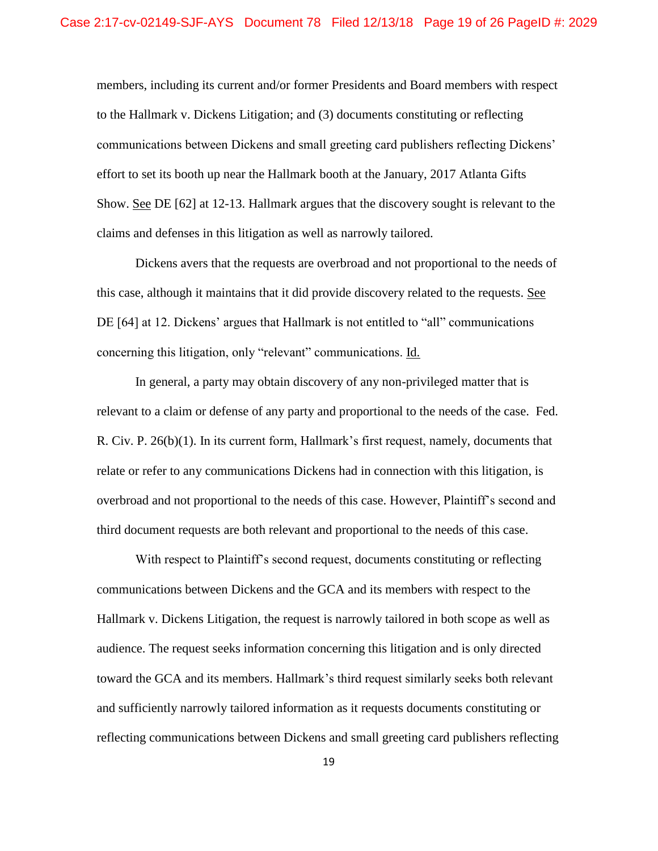members, including its current and/or former Presidents and Board members with respect to the Hallmark v. Dickens Litigation; and (3) documents constituting or reflecting communications between Dickens and small greeting card publishers reflecting Dickens' effort to set its booth up near the Hallmark booth at the January, 2017 Atlanta Gifts Show. See DE [62] at 12-13. Hallmark argues that the discovery sought is relevant to the claims and defenses in this litigation as well as narrowly tailored.

Dickens avers that the requests are overbroad and not proportional to the needs of this case, although it maintains that it did provide discovery related to the requests. See DE [64] at 12. Dickens' argues that Hallmark is not entitled to "all" communications concerning this litigation, only "relevant" communications. Id.

In general, a party may obtain discovery of any non-privileged matter that is relevant to a claim or defense of any party and proportional to the needs of the case. Fed. R. Civ. P. 26(b)(1). In its current form, Hallmark's first request, namely, documents that relate or refer to any communications Dickens had in connection with this litigation, is overbroad and not proportional to the needs of this case. However, Plaintiff's second and third document requests are both relevant and proportional to the needs of this case.

With respect to Plaintiff's second request, documents constituting or reflecting communications between Dickens and the GCA and its members with respect to the Hallmark v. Dickens Litigation, the request is narrowly tailored in both scope as well as audience. The request seeks information concerning this litigation and is only directed toward the GCA and its members. Hallmark's third request similarly seeks both relevant and sufficiently narrowly tailored information as it requests documents constituting or reflecting communications between Dickens and small greeting card publishers reflecting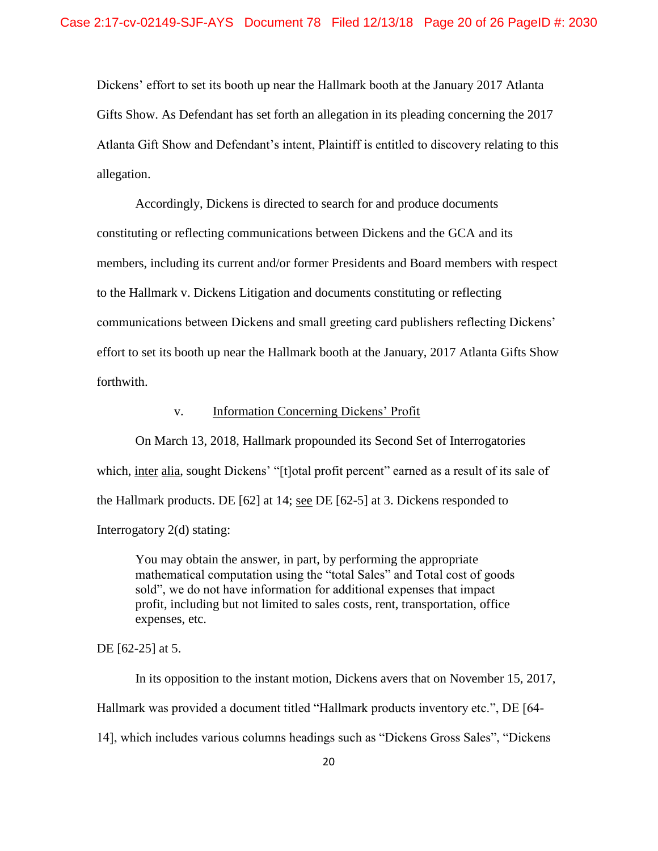Dickens' effort to set its booth up near the Hallmark booth at the January 2017 Atlanta Gifts Show. As Defendant has set forth an allegation in its pleading concerning the 2017 Atlanta Gift Show and Defendant's intent, Plaintiff is entitled to discovery relating to this allegation.

Accordingly, Dickens is directed to search for and produce documents constituting or reflecting communications between Dickens and the GCA and its members, including its current and/or former Presidents and Board members with respect to the Hallmark v. Dickens Litigation and documents constituting or reflecting communications between Dickens and small greeting card publishers reflecting Dickens' effort to set its booth up near the Hallmark booth at the January, 2017 Atlanta Gifts Show forthwith.

## v. Information Concerning Dickens' Profit

On March 13, 2018, Hallmark propounded its Second Set of Interrogatories which, inter alia, sought Dickens' "[t]otal profit percent" earned as a result of its sale of the Hallmark products. DE [62] at 14; see DE [62-5] at 3. Dickens responded to Interrogatory 2(d) stating:

You may obtain the answer, in part, by performing the appropriate mathematical computation using the "total Sales" and Total cost of goods sold", we do not have information for additional expenses that impact profit, including but not limited to sales costs, rent, transportation, office expenses, etc.

## DE [62-25] at 5.

In its opposition to the instant motion, Dickens avers that on November 15, 2017, Hallmark was provided a document titled "Hallmark products inventory etc.", DE [64- 14], which includes various columns headings such as "Dickens Gross Sales", "Dickens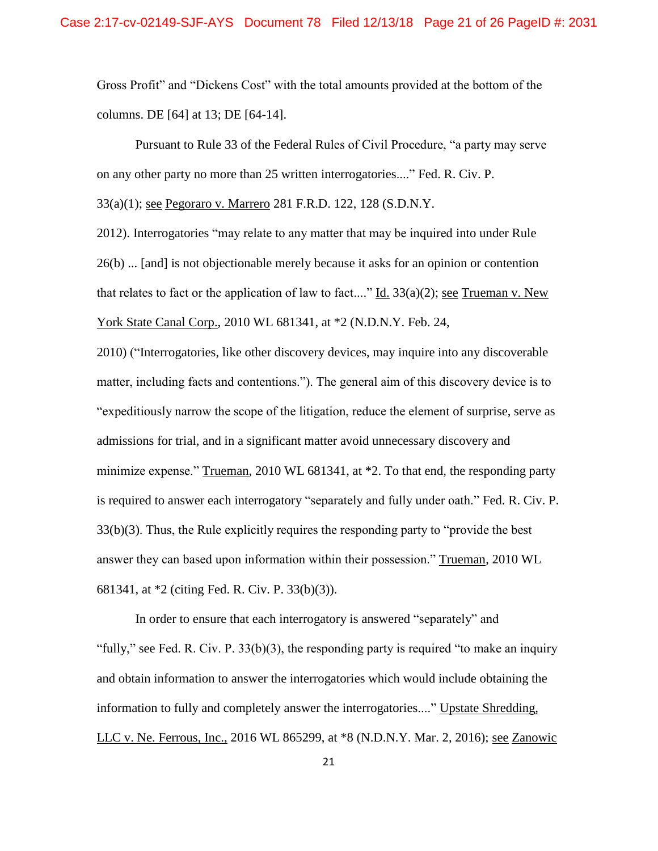Gross Profit" and "Dickens Cost" with the total amounts provided at the bottom of the columns. DE [64] at 13; DE [64-14].

Pursuant to Rule 33 of the Federal Rules of Civil Procedure, "a party may serve on any other party no more than 25 written interrogatories...." Fed. R. Civ. P.

33(a)(1); see Pegoraro v. Marrero 281 F.R.D. 122, 128 (S.D.N.Y.

2012). Interrogatories "may relate to any matter that may be inquired into under Rule 26(b) ... [and] is not objectionable merely because it asks for an opinion or contention that relates to fact or the application of law to fact...." Id.  $33(a)(2)$ ; see Trueman v. New York State Canal Corp., 2010 WL 681341, at \*2 (N.D.N.Y. Feb. 24,

2010) ("Interrogatories, like other discovery devices, may inquire into any discoverable matter, including facts and contentions."). The general aim of this discovery device is to "expeditiously narrow the scope of the litigation, reduce the element of surprise, serve as admissions for trial, and in a significant matter avoid unnecessary discovery and minimize expense." Trueman, 2010 WL 681341, at \*2. To that end, the responding party is required to answer each interrogatory "separately and fully under oath." Fed. R. Civ. P. 33(b)(3). Thus, the Rule explicitly requires the responding party to "provide the best answer they can based upon information within their possession." Trueman, 2010 WL 681341, at \*2 (citing Fed. R. Civ. P. 33(b)(3)).

In order to ensure that each interrogatory is answered "separately" and "fully," see Fed. R. Civ. P. 33(b)(3), the responding party is required "to make an inquiry and obtain information to answer the interrogatories which would include obtaining the information to fully and completely answer the interrogatories...." Upstate Shredding, LLC v. Ne. Ferrous, Inc., 2016 WL 865299, at \*8 (N.D.N.Y. Mar. 2, 2016); see Zanowic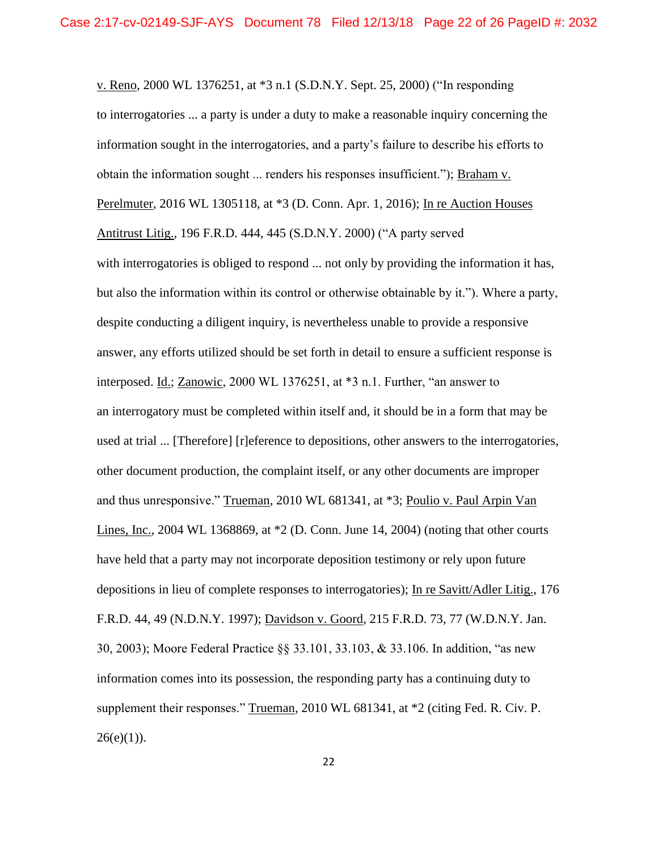v. Reno, 2000 WL 1376251, at \*3 n.1 (S.D.N.Y. Sept. 25, 2000) ("In responding to interrogatories ... a party is under a duty to make a reasonable inquiry concerning the information sought in the interrogatories, and a party's failure to describe his efforts to obtain the information sought ... renders his responses insufficient."); Braham v. Perelmuter, 2016 WL 1305118, at \*3 (D. Conn. Apr. 1, 2016); In re Auction Houses Antitrust Litig., 196 F.R.D. 444, 445 (S.D.N.Y. 2000) ("A party served with interrogatories is obliged to respond ... not only by providing the information it has, but also the information within its control or otherwise obtainable by it."). Where a party, despite conducting a diligent inquiry, is nevertheless unable to provide a responsive answer, any efforts utilized should be set forth in detail to ensure a sufficient response is interposed. Id.; Zanowic, 2000 WL 1376251, at \*3 n.1. Further, "an answer to an interrogatory must be completed within itself and, it should be in a form that may be used at trial ... [Therefore] [r]eference to depositions, other answers to the interrogatories, other document production, the complaint itself, or any other documents are improper and thus unresponsive." Trueman, 2010 WL 681341, at \*3; Poulio v. Paul Arpin Van Lines, Inc., 2004 WL 1368869, at  $*2$  (D. Conn. June 14, 2004) (noting that other courts have held that a party may not incorporate deposition testimony or rely upon future depositions in lieu of complete responses to interrogatories); In re Savitt/Adler Litig., 176 F.R.D. 44, 49 (N.D.N.Y. 1997); Davidson v. Goord, 215 F.R.D. 73, 77 (W.D.N.Y. Jan. 30, 2003); Moore Federal Practice §§ 33.101, 33.103, & 33.106. In addition, "as new information comes into its possession, the responding party has a continuing duty to supplement their responses." Trueman, 2010 WL 681341, at \*2 (citing Fed. R. Civ. P.  $26(e)(1)$ ).

22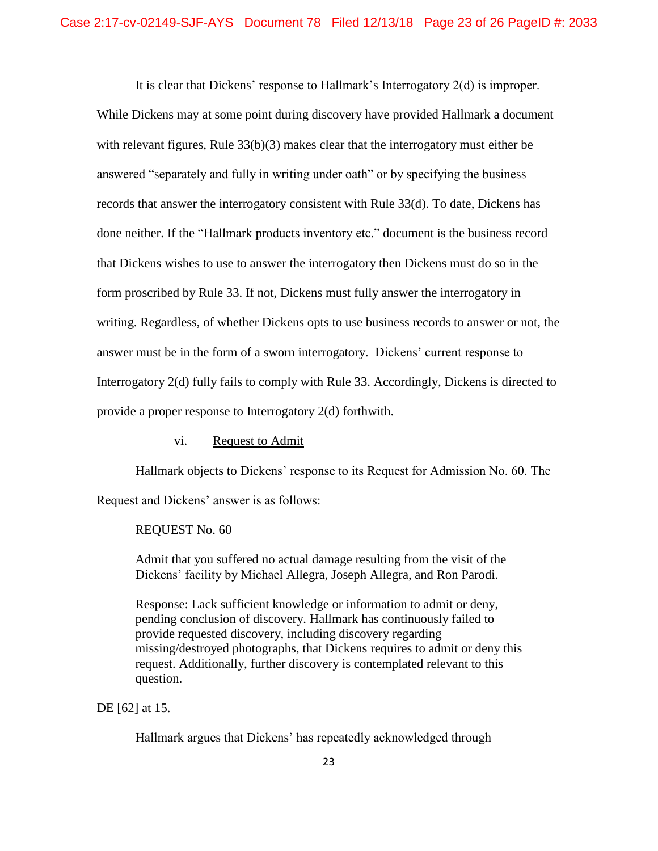It is clear that Dickens' response to Hallmark's Interrogatory 2(d) is improper.

While Dickens may at some point during discovery have provided Hallmark a document with relevant figures, Rule 33(b)(3) makes clear that the interrogatory must either be answered "separately and fully in writing under oath" or by specifying the business records that answer the interrogatory consistent with Rule 33(d). To date, Dickens has done neither. If the "Hallmark products inventory etc." document is the business record that Dickens wishes to use to answer the interrogatory then Dickens must do so in the form proscribed by Rule 33. If not, Dickens must fully answer the interrogatory in writing. Regardless, of whether Dickens opts to use business records to answer or not, the answer must be in the form of a sworn interrogatory. Dickens' current response to Interrogatory 2(d) fully fails to comply with Rule 33. Accordingly, Dickens is directed to provide a proper response to Interrogatory 2(d) forthwith.

vi. Request to Admit

Hallmark objects to Dickens' response to its Request for Admission No. 60. The

Request and Dickens' answer is as follows:

REQUEST No. 60

Admit that you suffered no actual damage resulting from the visit of the Dickens' facility by Michael Allegra, Joseph Allegra, and Ron Parodi.

Response: Lack sufficient knowledge or information to admit or deny, pending conclusion of discovery. Hallmark has continuously failed to provide requested discovery, including discovery regarding missing/destroyed photographs, that Dickens requires to admit or deny this request. Additionally, further discovery is contemplated relevant to this question.

DE [62] at 15.

Hallmark argues that Dickens' has repeatedly acknowledged through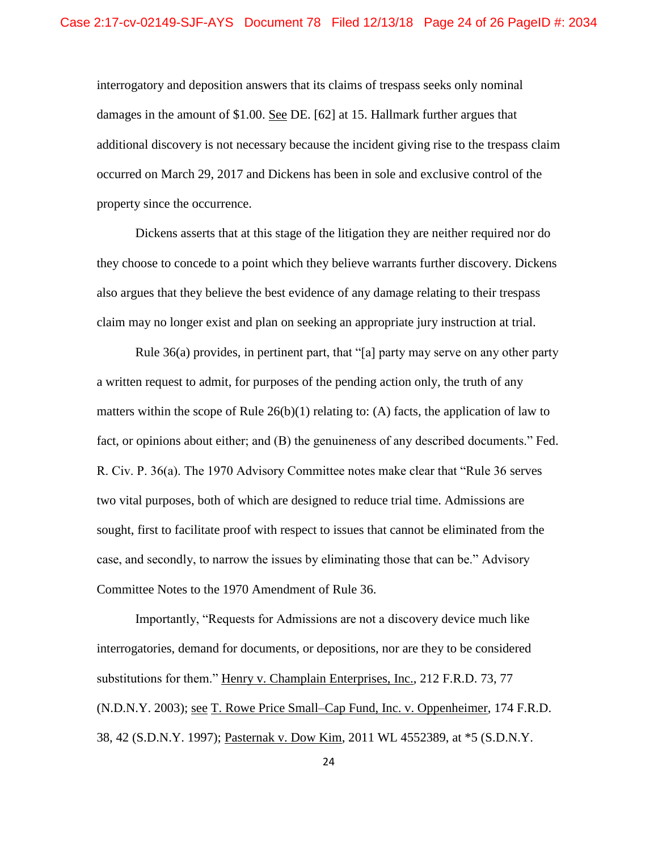interrogatory and deposition answers that its claims of trespass seeks only nominal damages in the amount of \$1.00. See DE. [62] at 15. Hallmark further argues that additional discovery is not necessary because the incident giving rise to the trespass claim occurred on March 29, 2017 and Dickens has been in sole and exclusive control of the property since the occurrence.

Dickens asserts that at this stage of the litigation they are neither required nor do they choose to concede to a point which they believe warrants further discovery. Dickens also argues that they believe the best evidence of any damage relating to their trespass claim may no longer exist and plan on seeking an appropriate jury instruction at trial.

Rule 36(a) provides, in pertinent part, that "[a] party may serve on any other party a written request to admit, for purposes of the pending action only, the truth of any matters within the scope of Rule  $26(b)(1)$  relating to: (A) facts, the application of law to fact, or opinions about either; and (B) the genuineness of any described documents." Fed. R. Civ. P. 36(a). The 1970 Advisory Committee notes make clear that "Rule 36 serves two vital purposes, both of which are designed to reduce trial time. Admissions are sought, first to facilitate proof with respect to issues that cannot be eliminated from the case, and secondly, to narrow the issues by eliminating those that can be." Advisory Committee Notes to the 1970 Amendment of Rule 36.

Importantly, "Requests for Admissions are not a discovery device much like interrogatories, demand for documents, or depositions, nor are they to be considered substitutions for them." Henry v. Champlain Enterprises, Inc., 212 F.R.D. 73, 77 (N.D.N.Y. 2003); see T. Rowe Price Small–Cap Fund, Inc. v. Oppenheimer, 174 F.R.D. 38, 42 (S.D.N.Y. 1997); Pasternak v. Dow Kim, 2011 WL 4552389, at \*5 (S.D.N.Y.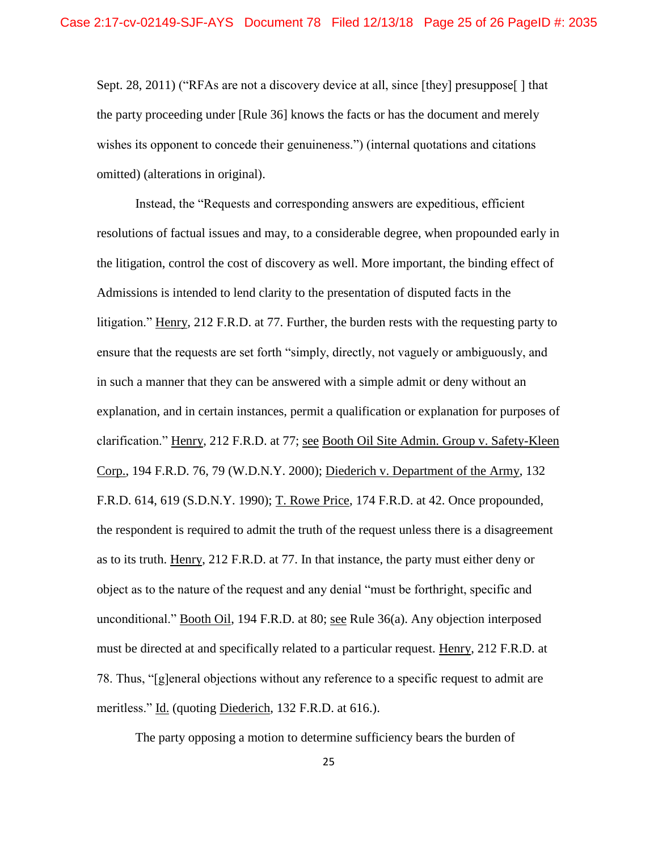Sept. 28, 2011) ("RFAs are not a discovery device at all, since [they] presuppose] htat the party proceeding under [Rule 36] knows the facts or has the document and merely wishes its opponent to concede their genuineness.") (internal quotations and citations omitted) (alterations in original).

Instead, the "Requests and corresponding answers are expeditious, efficient resolutions of factual issues and may, to a considerable degree, when propounded early in the litigation, control the cost of discovery as well. More important, the binding effect of Admissions is intended to lend clarity to the presentation of disputed facts in the litigation." Henry, 212 F.R.D. at 77. Further, the burden rests with the requesting party to ensure that the requests are set forth "simply, directly, not vaguely or ambiguously, and in such a manner that they can be answered with a simple admit or deny without an explanation, and in certain instances, permit a qualification or explanation for purposes of clarification." Henry, 212 F.R.D. at 77; see Booth Oil Site Admin. Group v. Safety-Kleen Corp., 194 F.R.D. 76, 79 (W.D.N.Y. 2000); Diederich v. Department of the Army, 132 F.R.D. 614, 619 (S.D.N.Y. 1990); T. Rowe Price, 174 F.R.D. at 42. Once propounded, the respondent is required to admit the truth of the request unless there is a disagreement as to its truth. Henry, 212 F.R.D. at 77. In that instance, the party must either deny or object as to the nature of the request and any denial "must be forthright, specific and unconditional." Booth Oil, 194 F.R.D. at 80; see Rule 36(a). Any objection interposed must be directed at and specifically related to a particular request. Henry, 212 F.R.D. at 78. Thus, "[g]eneral objections without any reference to a specific request to admit are meritless." Id. (quoting Diederich, 132 F.R.D. at 616.).

The party opposing a motion to determine sufficiency bears the burden of